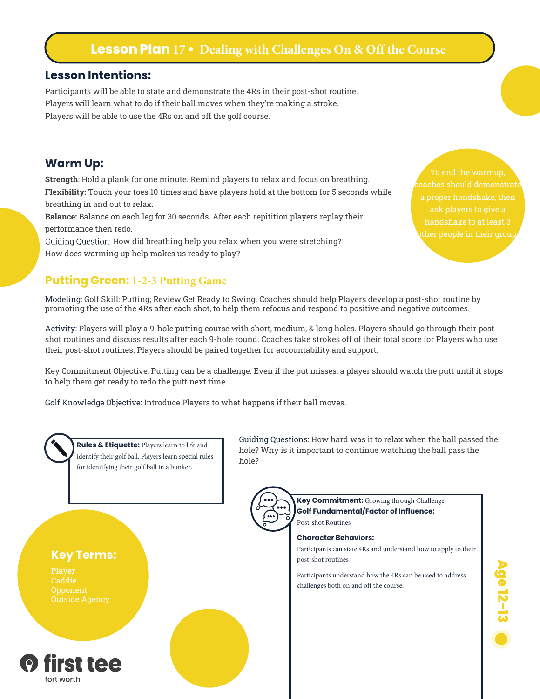# **Lesson Plan 17 • Dealing with Challenges On & Off the Course**

#### **Lesson Intentions:**

Participants will be able to state and demonstrate the 4Rs in their post-shot routine. Players will learn what to do if their ball moves when they're making a stroke. Players will be able to use the 4Rs on and off the golf course.

### **Warm Up:**

fort worth

**Strength**: Hold a plank for one minute. Remind players to relax and focus on breathing. **Flexibility:** Touch your toes 10 times and have players hold at the bottom for 5 seconds while breathing in and out to relax.

**Balance:** Balance on each leg for 30 seconds. After each repitition players replay their performance then redo.

Guiding Question: How did breathing help you relax when you were stretching? How does warming up help makes us ready to play?

### **Putting Green: 1-2-3 Putting Game**

Modeling: Golf Skill: Putting; Review Get Ready to Swing. Coaches should help Players develop a post-shot routine by promoting the use of the 4Rs after each shot, to help them refocus and respond to positive and negative outcomes.

Activity: Players will play a 9-hole putting course with short, medium, & long holes. Players should go through their postshot routines and discuss results after each 9-hole round. Coaches take strokes off of their total score for Players who use their post-shot routines. Players should be paired together for accountability and support.

Key Commitment Objective: Putting can be a challenge. Even if the put misses, a player should watch the putt until it stops to help them get ready to redo the putt next time.

Golf Knowledge Objective: Introduce Players to what happens if their ball moves.

**Rules & Etiquette:** Players learn to life and identify their golf ball. Players learn special rules hole? for identifying their golf ball in a bunker.Post-shot Routines **Character Behaviors: Key Terms:** post-shot routines Player challenges both on and off the course. first tee

Guiding Questions: How hard was it to relax when the ball passed the hole? Why is it important to continue watching the ball pass the

> **Key Commitment:** Growing through Challenge **Golf Fundamental/Factor of Influence:**

Participants can state 4Rs and understand how to apply to their

Participants understand how the 4Rs can be used to address

# Age 12-13

To end the warmup,

ask players to give a